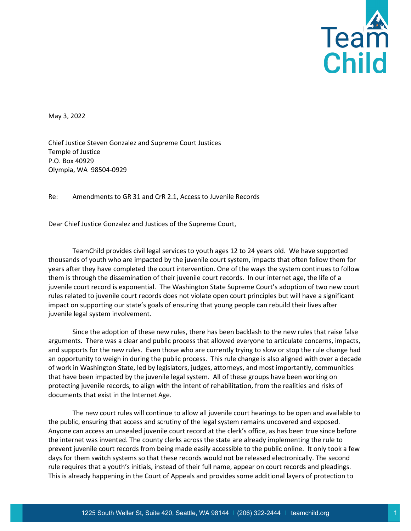

May 3, 2022

Chief Justice Steven Gonzalez and Supreme Court Justices Temple of Justice P.O. Box 40929 Olympia, WA 98504-0929

Re: Amendments to GR 31 and CrR 2.1, Access to Juvenile Records

Dear Chief Justice Gonzalez and Justices of the Supreme Court,

TeamChild provides civil legal services to youth ages 12 to 24 years old. We have supported thousands of youth who are impacted by the juvenile court system, impacts that often follow them for years after they have completed the court intervention. One of the ways the system continues to follow them is through the dissemination of their juvenile court records. In our internet age, the life of a juvenile court record is exponential. The Washington State Supreme Court's adoption of two new court rules related to juvenile court records does not violate open court principles but will have a significant impact on supporting our state's goals of ensuring that young people can rebuild their lives after juvenile legal system involvement.

Since the adoption of these new rules, there has been backlash to the new rules that raise false arguments. There was a clear and public process that allowed everyone to articulate concerns, impacts, and supports for the new rules. Even those who are currently trying to slow or stop the rule change had an opportunity to weigh in during the public process. This rule change is also aligned with over a decade of work in Washington State, led by legislators, judges, attorneys, and most importantly, communities that have been impacted by the juvenile legal system. All of these groups have been working on protecting juvenile records, to align with the intent of rehabilitation, from the realities and risks of documents that exist in the Internet Age.

The new court rules will continue to allow all juvenile court hearings to be open and available to the public, ensuring that access and scrutiny of the legal system remains uncovered and exposed. Anyone can access an unsealed juvenile court record at the clerk's office, as has been true since before the internet was invented. The county clerks across the state are already implementing the rule to prevent juvenile court records from being made easily accessible to the public online. It only took a few days for them switch systems so that these records would not be released electronically. The second rule requires that a youth's initials, instead of their full name, appear on court records and pleadings. This is already happening in the Court of Appeals and provides some additional layers of protection to